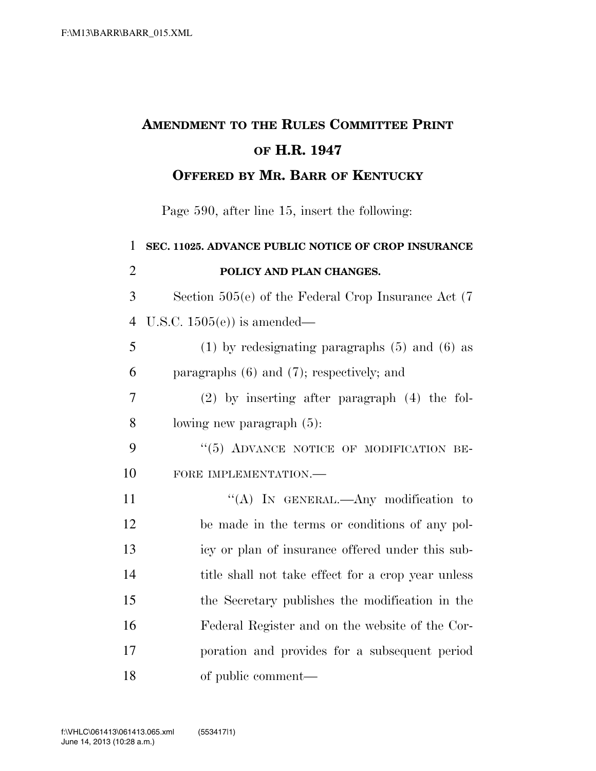## **AMENDMENT TO THE RULES COMMITTEE PRINT OF H.R. 1947 OFFERED BY MR. BARR OF KENTUCKY**

Page 590, after line 15, insert the following:

| 1              | SEC. 11025. ADVANCE PUBLIC NOTICE OF CROP INSURANCE      |
|----------------|----------------------------------------------------------|
| $\overline{2}$ | POLICY AND PLAN CHANGES.                                 |
| 3              | Section $505(e)$ of the Federal Crop Insurance Act $(7)$ |
| $\overline{4}$ | U.S.C. $1505(e)$ is amended—                             |
| 5              | $(1)$ by redesignating paragraphs $(5)$ and $(6)$ as     |
| 6              | paragraphs $(6)$ and $(7)$ ; respectively; and           |
| 7              | $(2)$ by inserting after paragraph $(4)$ the fol-        |
| 8              | lowing new paragraph $(5)$ :                             |
| 9              | "(5) ADVANCE NOTICE OF MODIFICATION BE-                  |
| 10             | FORE IMPLEMENTATION.-                                    |
| 11             | "(A) IN GENERAL.—Any modification to                     |
| 12             | be made in the terms or conditions of any pol-           |
| 13             | icy or plan of insurance offered under this sub-         |
| 14             | title shall not take effect for a crop year unless       |
| 15             | the Secretary publishes the modification in the          |
| 16             | Federal Register and on the website of the Cor-          |
| 17             | poration and provides for a subsequent period            |
| 18             | of public comment—                                       |